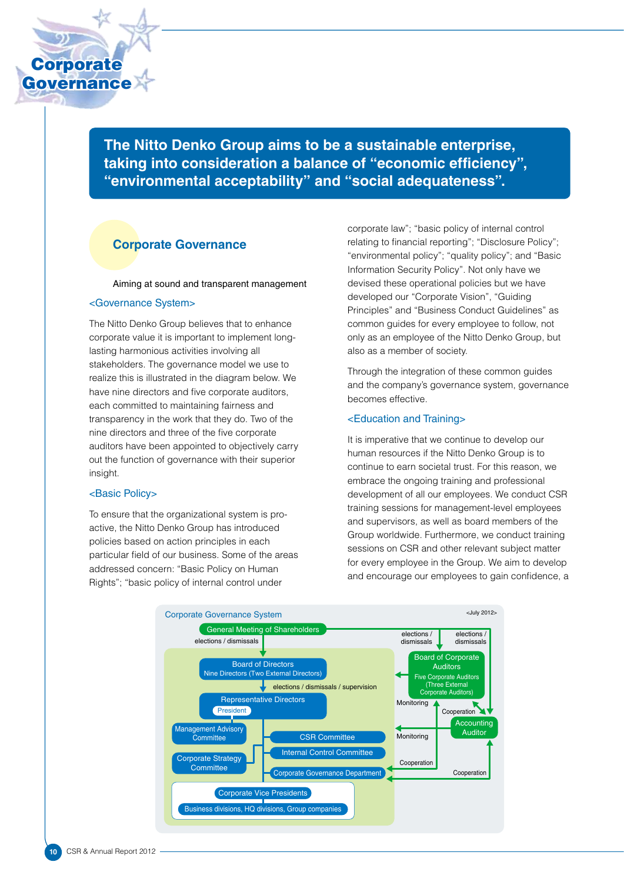

**The Nitto Denko Group aims to be a sustainable enterprise, taking into consideration a balance of "economic efficiency", "environmental acceptability" and "social adequateness".**

## **Corporate Governance**

Aiming at sound and transparent management

#### <Governance System>

The Nitto Denko Group believes that to enhance corporate value it is important to implement longlasting harmonious activities involving all stakeholders. The governance model we use to realize this is illustrated in the diagram below. We have nine directors and five corporate auditors, each committed to maintaining fairness and transparency in the work that they do. Two of the nine directors and three of the five corporate auditors have been appointed to objectively carry out the function of governance with their superior insight.

#### <Basic Policy>

To ensure that the organizational system is proactive, the Nitto Denko Group has introduced policies based on action principles in each particular field of our business. Some of the areas addressed concern: "Basic Policy on Human Rights"; "basic policy of internal control under

corporate law"; "basic policy of internal control relating to financial reporting"; "Disclosure Policy"; "environmental policy"; "quality policy"; and "Basic Information Security Policy". Not only have we devised these operational policies but we have developed our "Corporate Vision", "Guiding Principles" and "Business Conduct Guidelines" as common guides for every employee to follow, not only as an employee of the Nitto Denko Group, but also as a member of society.

Through the integration of these common guides and the company's governance system, governance becomes effective.

#### <Education and Training>

It is imperative that we continue to develop our human resources if the Nitto Denko Group is to continue to earn societal trust. For this reason, we embrace the ongoing training and professional development of all our employees. We conduct CSR training sessions for management-level employees and supervisors, as well as board members of the Group worldwide. Furthermore, we conduct training sessions on CSR and other relevant subject matter for every employee in the Group. We aim to develop and encourage our employees to gain confidence, a

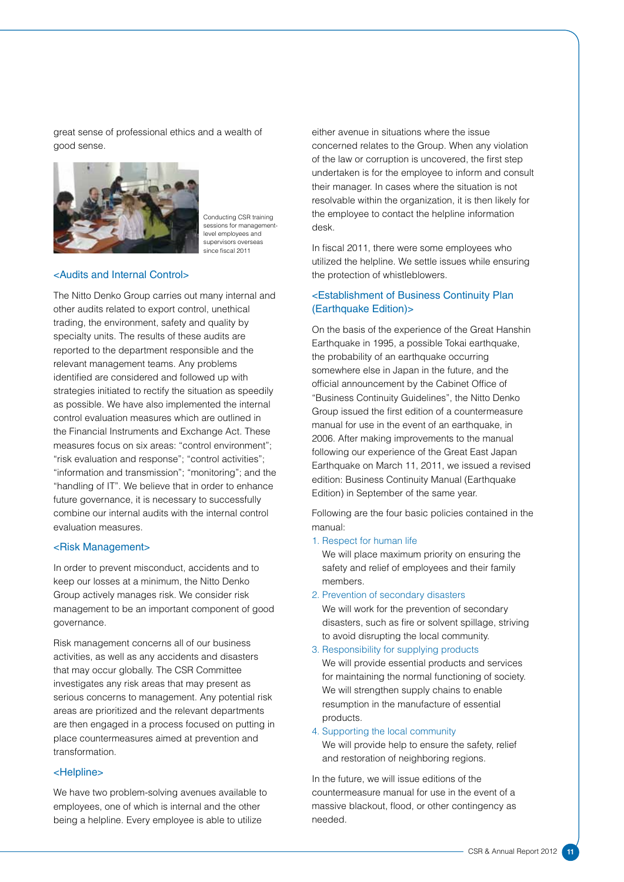great sense of professional ethics and a wealth of good sense.



Conducting CSR training sessions for managementlevel employees and supervisors overseas since fiscal 2011

#### <Audits and Internal Control>

The Nitto Denko Group carries out many internal and other audits related to export control, unethical trading, the environment, safety and quality by specialty units. The results of these audits are reported to the department responsible and the relevant management teams. Any problems identified are considered and followed up with strategies initiated to rectify the situation as speedily as possible. We have also implemented the internal control evaluation measures which are outlined in the Financial Instruments and Exchange Act. These measures focus on six areas: "control environment"; "risk evaluation and response"; "control activities"; "information and transmission"; "monitoring"; and the "handling of IT". We believe that in order to enhance future governance, it is necessary to successfully combine our internal audits with the internal control evaluation measures.

#### <Risk Management>

In order to prevent misconduct, accidents and to keep our losses at a minimum, the Nitto Denko Group actively manages risk. We consider risk management to be an important component of good governance.

Risk management concerns all of our business activities, as well as any accidents and disasters that may occur globally. The CSR Committee investigates any risk areas that may present as serious concerns to management. Any potential risk areas are prioritized and the relevant departments are then engaged in a process focused on putting in place countermeasures aimed at prevention and transformation.

#### <Helpline>

We have two problem-solving avenues available to employees, one of which is internal and the other being a helpline. Every employee is able to utilize

either avenue in situations where the issue concerned relates to the Group. When any violation of the law or corruption is uncovered, the first step undertaken is for the employee to inform and consult their manager. In cases where the situation is not resolvable within the organization, it is then likely for the employee to contact the helpline information desk.

In fiscal 2011, there were some employees who utilized the helpline. We settle issues while ensuring the protection of whistleblowers.

### <Establishment of Business Continuity Plan (Earthquake Edition)>

On the basis of the experience of the Great Hanshin Earthquake in 1995, a possible Tokai earthquake, the probability of an earthquake occurring somewhere else in Japan in the future, and the official announcement by the Cabinet Office of "Business Continuity Guidelines", the Nitto Denko Group issued the first edition of a countermeasure manual for use in the event of an earthquake, in 2006. After making improvements to the manual following our experience of the Great East Japan Earthquake on March 11, 2011, we issued a revised edition: Business Continuity Manual (Earthquake Edition) in September of the same year.

Following are the four basic policies contained in the manual:

1. Respect for human life

We will place maximum priority on ensuring the safety and relief of employees and their family members.

2. Prevention of secondary disasters

We will work for the prevention of secondary disasters, such as fire or solvent spillage, striving to avoid disrupting the local community.

3. Responsibility for supplying products

We will provide essential products and services for maintaining the normal functioning of society. We will strengthen supply chains to enable resumption in the manufacture of essential products.

4. Supporting the local community We will provide help to ensure the safety, relief and restoration of neighboring regions.

In the future, we will issue editions of the countermeasure manual for use in the event of a massive blackout, flood, or other contingency as needed.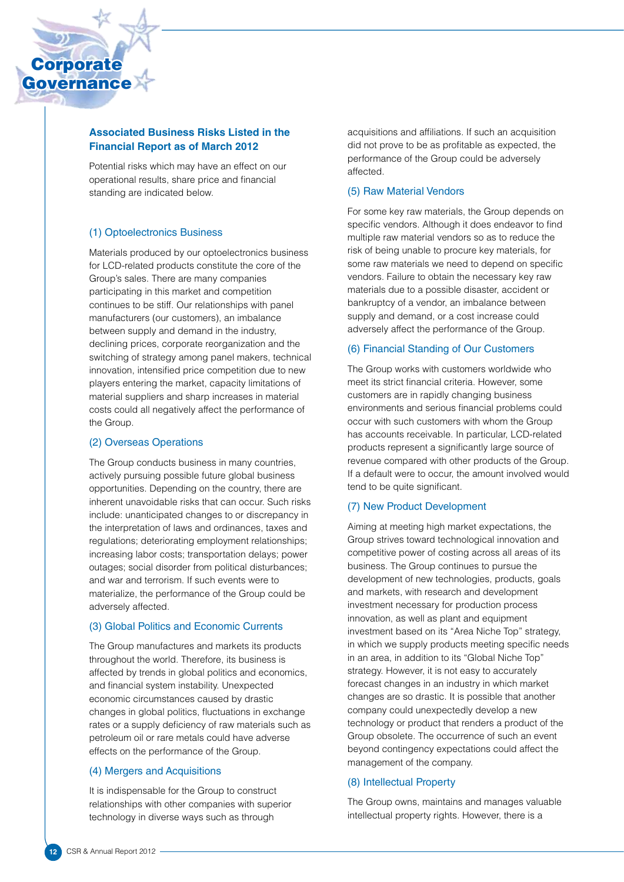

## **Associated Business Risks Listed in the Financial Report as of March 2012**

Potential risks which may have an effect on our operational results, share price and financial standing are indicated below.

## (1) Optoelectronics Business

Materials produced by our optoelectronics business for LCD-related products constitute the core of the Group's sales. There are many companies participating in this market and competition continues to be stiff. Our relationships with panel manufacturers (our customers), an imbalance between supply and demand in the industry, declining prices, corporate reorganization and the switching of strategy among panel makers, technical innovation, intensified price competition due to new players entering the market, capacity limitations of material suppliers and sharp increases in material costs could all negatively affect the performance of the Group.

## (2) Overseas Operations

The Group conducts business in many countries, actively pursuing possible future global business opportunities. Depending on the country, there are inherent unavoidable risks that can occur. Such risks include: unanticipated changes to or discrepancy in the interpretation of laws and ordinances, taxes and regulations; deteriorating employment relationships; increasing labor costs; transportation delays; power outages; social disorder from political disturbances; and war and terrorism. If such events were to materialize, the performance of the Group could be adversely affected.

#### (3) Global Politics and Economic Currents

The Group manufactures and markets its products throughout the world. Therefore, its business is affected by trends in global politics and economics, and financial system instability. Unexpected economic circumstances caused by drastic changes in global politics, fluctuations in exchange rates or a supply deficiency of raw materials such as petroleum oil or rare metals could have adverse effects on the performance of the Group.

## (4) Mergers and Acquisitions

It is indispensable for the Group to construct relationships with other companies with superior technology in diverse ways such as through

acquisitions and affiliations. If such an acquisition did not prove to be as profitable as expected, the performance of the Group could be adversely affected.

## (5) Raw Material Vendors

For some key raw materials, the Group depends on specific vendors. Although it does endeavor to find multiple raw material vendors so as to reduce the risk of being unable to procure key materials, for some raw materials we need to depend on specific vendors. Failure to obtain the necessary key raw materials due to a possible disaster, accident or bankruptcy of a vendor, an imbalance between supply and demand, or a cost increase could adversely affect the performance of the Group.

### (6) Financial Standing of Our Customers

The Group works with customers worldwide who meet its strict financial criteria. However, some customers are in rapidly changing business environments and serious financial problems could occur with such customers with whom the Group has accounts receivable. In particular, LCD-related products represent a significantly large source of revenue compared with other products of the Group. If a default were to occur, the amount involved would tend to be quite significant.

## (7) New Product Development

Aiming at meeting high market expectations, the Group strives toward technological innovation and competitive power of costing across all areas of its business. The Group continues to pursue the development of new technologies, products, goals and markets, with research and development investment necessary for production process innovation, as well as plant and equipment investment based on its "Area Niche Top" strategy, in which we supply products meeting specific needs in an area, in addition to its "Global Niche Top" strategy. However, it is not easy to accurately forecast changes in an industry in which market changes are so drastic. It is possible that another company could unexpectedly develop a new technology or product that renders a product of the Group obsolete. The occurrence of such an event beyond contingency expectations could affect the management of the company.

## (8) Intellectual Property

The Group owns, maintains and manages valuable intellectual property rights. However, there is a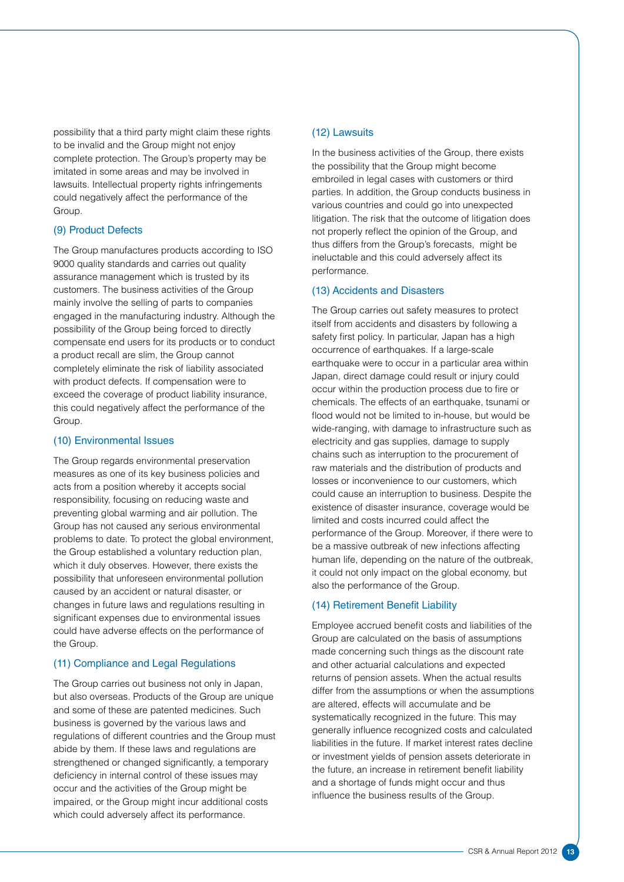possibility that a third party might claim these rights to be invalid and the Group might not enjoy complete protection. The Group's property may be imitated in some areas and may be involved in lawsuits. Intellectual property rights infringements could negatively affect the performance of the Group.

#### (9) Product Defects

The Group manufactures products according to ISO 9000 quality standards and carries out quality assurance management which is trusted by its customers. The business activities of the Group mainly involve the selling of parts to companies engaged in the manufacturing industry. Although the possibility of the Group being forced to directly compensate end users for its products or to conduct a product recall are slim, the Group cannot completely eliminate the risk of liability associated with product defects. If compensation were to exceed the coverage of product liability insurance, this could negatively affect the performance of the Group.

#### (10) Environmental Issues

The Group regards environmental preservation measures as one of its key business policies and acts from a position whereby it accepts social responsibility, focusing on reducing waste and preventing global warming and air pollution. The Group has not caused any serious environmental problems to date. To protect the global environment, the Group established a voluntary reduction plan, which it duly observes. However, there exists the possibility that unforeseen environmental pollution caused by an accident or natural disaster, or changes in future laws and regulations resulting in significant expenses due to environmental issues could have adverse effects on the performance of the Group.

#### (11) Compliance and Legal Regulations

The Group carries out business not only in Japan, but also overseas. Products of the Group are unique and some of these are patented medicines. Such business is governed by the various laws and regulations of different countries and the Group must abide by them. If these laws and regulations are strengthened or changed significantly, a temporary deficiency in internal control of these issues may occur and the activities of the Group might be impaired, or the Group might incur additional costs which could adversely affect its performance.

#### (12) Lawsuits

In the business activities of the Group, there exists the possibility that the Group might become embroiled in legal cases with customers or third parties. In addition, the Group conducts business in various countries and could go into unexpected litigation. The risk that the outcome of litigation does not properly reflect the opinion of the Group, and thus differs from the Group's forecasts, might be ineluctable and this could adversely affect its performance.

#### (13) Accidents and Disasters

The Group carries out safety measures to protect itself from accidents and disasters by following a safety first policy. In particular, Japan has a high occurrence of earthquakes. If a large-scale earthquake were to occur in a particular area within Japan, direct damage could result or injury could occur within the production process due to fire or chemicals. The effects of an earthquake, tsunami or flood would not be limited to in-house, but would be wide-ranging, with damage to infrastructure such as electricity and gas supplies, damage to supply chains such as interruption to the procurement of raw materials and the distribution of products and losses or inconvenience to our customers, which could cause an interruption to business. Despite the existence of disaster insurance, coverage would be limited and costs incurred could affect the performance of the Group. Moreover, if there were to be a massive outbreak of new infections affecting human life, depending on the nature of the outbreak, it could not only impact on the global economy, but also the performance of the Group.

### (14) Retirement Benefit Liability

Employee accrued benefit costs and liabilities of the Group are calculated on the basis of assumptions made concerning such things as the discount rate and other actuarial calculations and expected returns of pension assets. When the actual results differ from the assumptions or when the assumptions are altered, effects will accumulate and be systematically recognized in the future. This may generally influence recognized costs and calculated liabilities in the future. If market interest rates decline or investment yields of pension assets deteriorate in the future, an increase in retirement benefit liability and a shortage of funds might occur and thus influence the business results of the Group.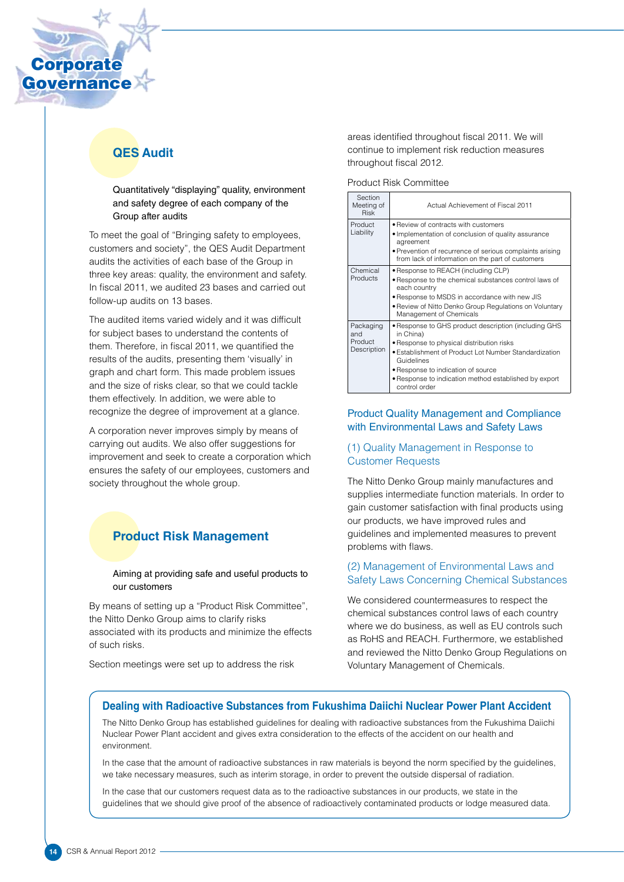

# **QES Audit**

Quantitatively "displaying" quality, environment and safety degree of each company of the Group after audits

To meet the goal of "Bringing safety to employees, customers and society", the QES Audit Department audits the activities of each base of the Group in three key areas: quality, the environment and safety. In fiscal 2011, we audited 23 bases and carried out follow-up audits on 13 bases.

The audited items varied widely and it was difficult for subject bases to understand the contents of them. Therefore, in fiscal 2011, we quantified the results of the audits, presenting them 'visually' in graph and chart form. This made problem issues and the size of risks clear, so that we could tackle them effectively. In addition, we were able to recognize the degree of improvement at a glance.

A corporation never improves simply by means of carrying out audits. We also offer suggestions for improvement and seek to create a corporation which ensures the safety of our employees, customers and society throughout the whole group.

# **Product Risk Management**

#### Aiming at providing safe and useful products to our customers

By means of setting up a "Product Risk Committee", the Nitto Denko Group aims to clarify risks associated with its products and minimize the effects of such risks.

Section meetings were set up to address the risk

areas identified throughout fiscal 2011. We will continue to implement risk reduction measures throughout fiscal 2012.

Product Risk Committee

| Section<br>Meeting of<br><b>Risk</b>       | Actual Achievement of Fiscal 2011                                                                                                                                                                                                                                                                     |
|--------------------------------------------|-------------------------------------------------------------------------------------------------------------------------------------------------------------------------------------------------------------------------------------------------------------------------------------------------------|
| Product<br>Liability                       | • Review of contracts with customers<br>• Implementation of conclusion of quality assurance<br>agreement<br>• Prevention of recurrence of serious complaints arising<br>from lack of information on the part of customers                                                                             |
| Chemical<br>Products                       | • Response to REACH (including CLP)<br>• Response to the chemical substances control laws of<br>each country<br>• Response to MSDS in accordance with new JIS<br>• Review of Nitto Denko Group Regulations on Voluntary<br>Management of Chemicals                                                    |
| Packaging<br>and<br>Product<br>Description | • Response to GHS product description (including GHS<br>in China)<br>• Response to physical distribution risks<br>• Establishment of Product Lot Number Standardization<br>Guidelines<br>• Response to indication of source<br>• Response to indication method established by export<br>control order |

## Product Quality Management and Compliance with Environmental Laws and Safety Laws

## (1) Quality Management in Response to Customer Requests

The Nitto Denko Group mainly manufactures and supplies intermediate function materials. In order to gain customer satisfaction with final products using our products, we have improved rules and guidelines and implemented measures to prevent problems with flaws.

## (2) Management of Environmental Laws and Safety Laws Concerning Chemical Substances

We considered countermeasures to respect the chemical substances control laws of each country where we do business, as well as EU controls such as RoHS and REACH. Furthermore, we established and reviewed the Nitto Denko Group Regulations on Voluntary Management of Chemicals.

## **Dealing with Radioactive Substances from Fukushima Daiichi Nuclear Power Plant Accident**

The Nitto Denko Group has established guidelines for dealing with radioactive substances from the Fukushima Daiichi Nuclear Power Plant accident and gives extra consideration to the effects of the accident on our health and environment.

In the case that the amount of radioactive substances in raw materials is beyond the norm specified by the guidelines, we take necessary measures, such as interim storage, in order to prevent the outside dispersal of radiation.

In the case that our customers request data as to the radioactive substances in our products, we state in the guidelines that we should give proof of the absence of radioactively contaminated products or lodge measured data.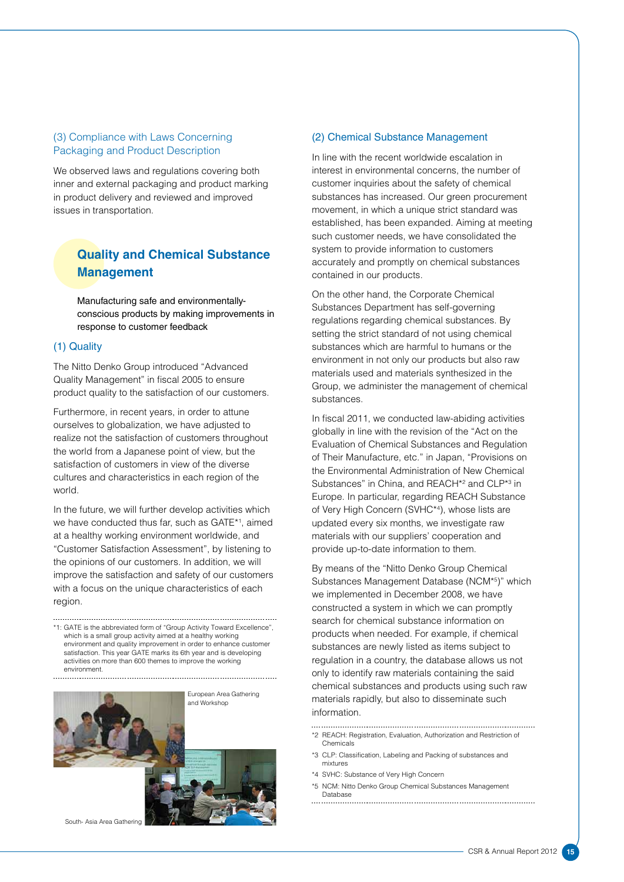## (3) Compliance with Laws Concerning Packaging and Product Description

We observed laws and regulations covering both inner and external packaging and product marking in product delivery and reviewed and improved issues in transportation.

# **Quality and Chemical Substance Management**

Manufacturing safe and environmentallyconscious products by making improvements in response to customer feedback

### (1) Quality

The Nitto Denko Group introduced "Advanced Quality Management" in fiscal 2005 to ensure product quality to the satisfaction of our customers.

Furthermore, in recent years, in order to attune ourselves to globalization, we have adjusted to realize not the satisfaction of customers throughout the world from a Japanese point of view, but the satisfaction of customers in view of the diverse cultures and characteristics in each region of the world.

In the future, we will further develop activities which we have conducted thus far, such as GATE\*1 , aimed at a healthy working environment worldwide, and "Customer Satisfaction Assessment", by listening to the opinions of our customers. In addition, we will improve the satisfaction and safety of our customers with a focus on the unique characteristics of each region.

\*1: GATE is the abbreviated form of "Group Activity Toward Excellence", which is a small group activity aimed at a healthy working environment and quality improvement in order to enhance customer satisfaction. This year GATE marks its 6th year and is developing activities on more than 600 themes to improve the working environment.







South- Asia Area Gathering

#### (2) Chemical Substance Management

In line with the recent worldwide escalation in interest in environmental concerns, the number of customer inquiries about the safety of chemical substances has increased. Our green procurement movement, in which a unique strict standard was established, has been expanded. Aiming at meeting such customer needs, we have consolidated the system to provide information to customers accurately and promptly on chemical substances contained in our products.

On the other hand, the Corporate Chemical Substances Department has self-governing regulations regarding chemical substances. By setting the strict standard of not using chemical substances which are harmful to humans or the environment in not only our products but also raw materials used and materials synthesized in the Group, we administer the management of chemical substances.

In fiscal 2011, we conducted law-abiding activities globally in line with the revision of the "Act on the Evaluation of Chemical Substances and Regulation of Their Manufacture, etc." in Japan, "Provisions on the Environmental Administration of New Chemical Substances" in China, and REACH<sup>\*2</sup> and CLP<sup>\*3</sup> in Europe. In particular, regarding REACH Substance of Very High Concern (SVHC\*4 ), whose lists are updated every six months, we investigate raw materials with our suppliers' cooperation and provide up-to-date information to them.

By means of the "Nitto Denko Group Chemical Substances Management Database (NCM\*5 )" which we implemented in December 2008, we have constructed a system in which we can promptly search for chemical substance information on products when needed. For example, if chemical substances are newly listed as items subject to regulation in a country, the database allows us not only to identify raw materials containing the said chemical substances and products using such raw materials rapidly, but also to disseminate such information.

- \*2 REACH: Registration, Evaluation, Authorization and Restriction of Chemicals
- \*3 CLP: Classification, Labeling and Packing of substances and mixtures
- \*4 SVHC: Substance of Very High Concern
- \*5 NCM: Nitto Denko Group Chemical Substances Management Database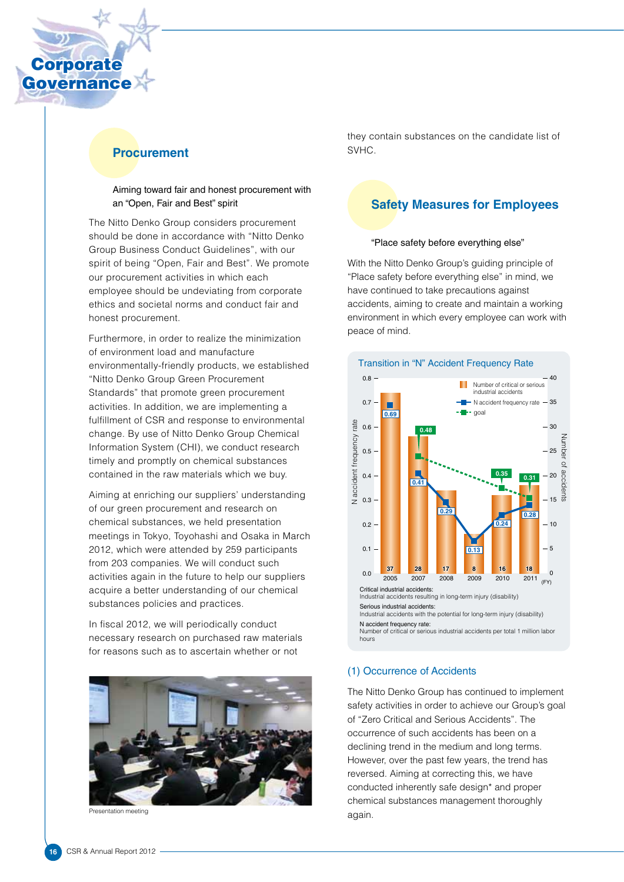

## **Procurement**

#### Aiming toward fair and honest procurement with an "Open, Fair and Best" spirit

The Nitto Denko Group considers procurement should be done in accordance with "Nitto Denko Group Business Conduct Guidelines", with our spirit of being "Open, Fair and Best". We promote our procurement activities in which each employee should be undeviating from corporate ethics and societal norms and conduct fair and honest procurement.

Furthermore, in order to realize the minimization of environment load and manufacture environmentally-friendly products, we established "Nitto Denko Group Green Procurement Standards" that promote green procurement activities. In addition, we are implementing a fulfillment of CSR and response to environmental change. By use of Nitto Denko Group Chemical Information System (CHI), we conduct research timely and promptly on chemical substances contained in the raw materials which we buy.

Aiming at enriching our suppliers' understanding of our green procurement and research on chemical substances, we held presentation meetings in Tokyo, Toyohashi and Osaka in March 2012, which were attended by 259 participants from 203 companies. We will conduct such activities again in the future to help our suppliers acquire a better understanding of our chemical substances policies and practices.

In fiscal 2012, we will periodically conduct necessary research on purchased raw materials for reasons such as to ascertain whether or not



sentation meeting

they contain substances on the candidate list of SVHC.

## **Safety Measures for Employees**

#### "Place safety before everything else"

With the Nitto Denko Group's guiding principle of "Place safety before everything else" in mind, we have continued to take precautions against accidents, aiming to create and maintain a working environment in which every employee can work with peace of mind.



#### (1) Occurrence of Accidents

The Nitto Denko Group has continued to implement safety activities in order to achieve our Group's goal of "Zero Critical and Serious Accidents". The occurrence of such accidents has been on a declining trend in the medium and long terms. However, over the past few years, the trend has reversed. Aiming at correcting this, we have conducted inherently safe design\* and proper chemical substances management thoroughly again.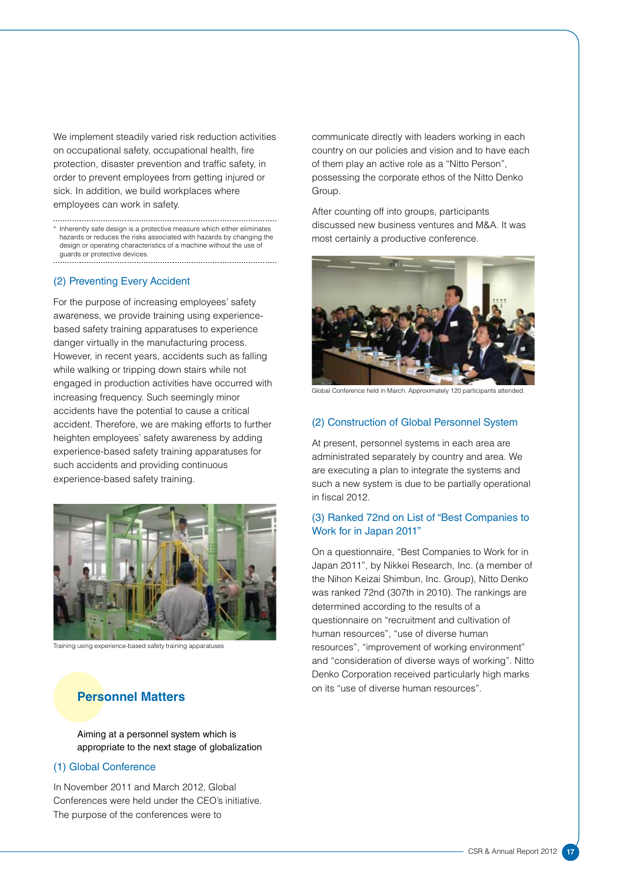We implement steadily varied risk reduction activities on occupational safety, occupational health, fire protection, disaster prevention and traffic safety, in order to prevent employees from getting injured or sick. In addition, we build workplaces where employees can work in safety.

\* Inherently safe design is a protective measure which either eliminates hazards or reduces the risks associated with hazards by changing the design or operating characteristics of a machine without the use of guards or protective devices.

#### (2) Preventing Every Accident

For the purpose of increasing employees' safety awareness, we provide training using experiencebased safety training apparatuses to experience danger virtually in the manufacturing process. However, in recent years, accidents such as falling while walking or tripping down stairs while not engaged in production activities have occurred with increasing frequency. Such seemingly minor accidents have the potential to cause a critical accident. Therefore, we are making efforts to further heighten employees' safety awareness by adding experience-based safety training apparatuses for such accidents and providing continuous experience-based safety training.



Training using experience-based safety training apparatuses

# **Personnel Matters**

Aiming at a personnel system which is appropriate to the next stage of globalization

#### (1) Global Conference

In November 2011 and March 2012, Global Conferences were held under the CEO's initiative. The purpose of the conferences were to

communicate directly with leaders working in each country on our policies and vision and to have each of them play an active role as a "Nitto Person", possessing the corporate ethos of the Nitto Denko Group.

After counting off into groups, participants discussed new business ventures and M&A. It was most certainly a productive conference.



Global Conference held in March. Approximately 120 participants attend

#### (2) Construction of Global Personnel System

At present, personnel systems in each area are administrated separately by country and area. We are executing a plan to integrate the systems and such a new system is due to be partially operational in fiscal 2012.

### (3) Ranked 72nd on List of "Best Companies to Work for in Japan 2011"

On a questionnaire, "Best Companies to Work for in Japan 2011", by Nikkei Research, Inc. (a member of the Nihon Keizai Shimbun, Inc. Group), Nitto Denko was ranked 72nd (307th in 2010). The rankings are determined according to the results of a questionnaire on "recruitment and cultivation of human resources", "use of diverse human resources", "improvement of working environment" and "consideration of diverse ways of working". Nitto Denko Corporation received particularly high marks on its "use of diverse human resources".